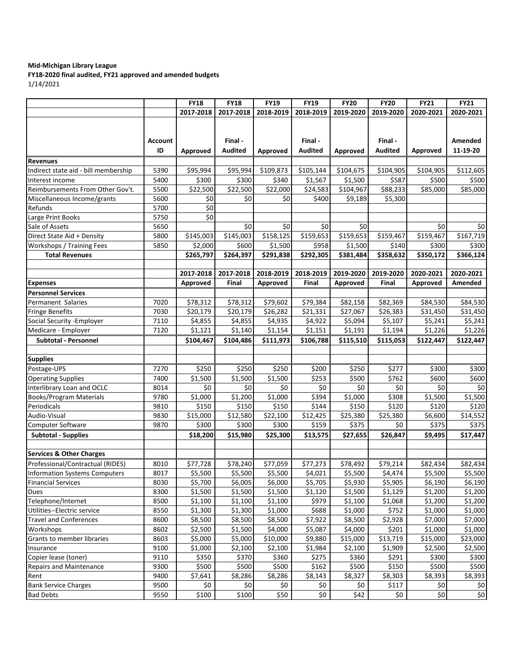## **Mid-Michigan Library League**

**FY18-2020 final audited, FY21 approved and amended budgets**  $1/14/202$ 

| 1/14/2021 |  |
|-----------|--|
|-----------|--|

| 2017-2018<br>2017-2018<br>2018-2019<br>2018-2019<br>2019-2020<br>2019-2020<br>2020-2021<br>2020-2021<br>Final-<br>Final -<br>Final-<br>Amended<br><b>Account</b><br>ID<br><b>Audited</b><br><b>Audited</b><br><b>Audited</b><br>11-19-20<br>Approved<br>Approved<br>Approved<br>Approved<br><b>Revenues</b><br>Indirect state aid - bill membership<br>\$95,994<br>\$95,994<br>\$109,873<br>\$105,144<br>\$104,675<br>\$104,905<br>\$104,905<br>5390<br>\$112,605<br>5400<br>\$300<br>\$300<br>\$340<br>\$1,567<br>\$1,500<br>\$587<br>\$500<br>\$500<br>5500<br>\$22,500<br>\$22,500<br>\$22,000<br>\$24,583<br>\$104,967<br>\$88,233<br>\$85,000<br>\$85,000<br>5600<br>\$0<br>\$0<br>\$0<br>\$400<br>\$9,189<br>\$5,300<br>$\overline{\xi}$<br>Refunds<br>5700<br>$\overline{\xi}$<br>5750<br>Large Print Books<br>Sale of Assets<br>\$0<br>\$0<br>\$0<br>\$0<br>\$0<br>\$0<br>5650<br>\$158,125<br>\$145,003<br>\$159,653<br>\$159,653<br>\$159,467<br>\$159,467<br>Direct State Aid + Density<br>5800<br>\$145,003<br>\$167,719<br>Workshops / Training Fees<br>\$600<br>\$1,500<br>\$958<br>\$1,500<br>\$140<br>\$300<br>\$300<br>5850<br>\$2,000<br><b>Total Revenues</b><br>\$265,797<br>\$264,397<br>\$291,838<br>\$292,305<br>\$381,484<br>\$358,632<br>\$350,172<br>\$366,124<br>2019-2020<br>2017-2018<br>2017-2018<br>2018-2019<br>2018-2019<br>2019-2020<br>2020-2021<br>2020-2021<br>Final<br>Amended<br>Approved<br>Approved<br>Final<br>Approved<br>Final<br>Approved<br>Expenses<br><b>Personnel Services</b><br>\$79,602<br>\$79,384<br>\$82,158<br>Permanent Salaries<br>7020<br>\$78,312<br>\$78,312<br>\$82,369<br>\$84,530<br>\$84,530<br>\$20,179<br>\$20,179<br>\$26,282<br>\$21,331<br>\$27,067<br>\$26,383<br>\$31,450<br>\$31,450<br>Fringe Benefits<br>7030<br>\$5,241<br>\$5,241<br>Social Security - Employer<br>7110<br>\$4,855<br>\$4,855<br>\$4,935<br>\$4,922<br>\$5,094<br>\$5,107<br>7120<br>\$1,121<br>\$1,140<br>\$1,154<br>\$1,151<br>\$1,191<br>\$1,194<br>\$1,226<br>\$1,226<br><b>Subtotal - Personnel</b><br>\$104,486<br>\$111,973<br>\$106,788<br>\$115,510<br>\$115,053<br>\$122,447<br>\$104,467<br>\$122,447<br><b>Supplies</b><br>Postage-UPS<br>\$250<br>\$250<br>\$250<br>\$200<br>\$250<br>\$277<br>\$300<br>\$300<br>7270<br>\$762<br><b>Operating Supplies</b><br>7400<br>\$253<br>\$500<br>\$600<br>\$1,500<br>\$1,500<br>\$1,500<br>\$600<br>Interlibrary Loan and OCLC<br>\$0<br>\$0<br>\$0<br>\$0<br>\$0<br>\$0<br>\$0<br>\$0<br>8014<br>\$394<br>\$1,000<br>\$308<br><b>Books/Program Materials</b><br>\$1,000<br>\$1,200<br>\$1,000<br>\$1,500<br>\$1,500<br>9780<br>\$144<br>Periodicals<br>9810<br>\$150<br>\$150<br>\$150<br>\$150<br>\$120<br>\$120<br>\$120<br>\$12,580<br>\$22,100<br>\$25,380<br>\$14,552<br>Audio-Visual<br>9830<br>\$15,000<br>\$12,425<br>\$25,380<br>\$6,600<br>$\overline{$}300$<br>\$300<br>\$300<br>\$375<br>\$375<br>9870<br>\$159<br>\$0<br>\$375<br>Computer Software<br><b>Subtotal - Supplies</b><br>\$18,200<br>\$15,980<br>\$25,300<br>\$13,575<br>\$27,655<br>\$26,847<br>\$9,495<br>\$17,447<br><b>Services &amp; Other Charges</b><br>Professional/Contractual (RIDES)<br>\$77,728<br>\$77,059<br>\$77,273<br>\$78,492<br>8010<br>\$78,240<br>\$79,214<br>\$82,434<br>\$82,434<br>\$5,500<br>\$4,474<br>\$5,500<br>8017<br>\$5,500<br>\$5,500<br>\$4,021<br>\$5,500<br>\$5,500<br>\$5,700<br>\$6,005<br>\$5,930<br>\$5,905<br>\$6,190<br>\$6,190<br>8030<br>\$6,000<br>\$5,705<br>\$1,500<br>\$1,500<br>\$1,120<br>\$1,500<br>\$1,129<br>\$1,200<br>\$1,200<br>8300<br>\$1,500<br>Dues<br>\$979<br>\$1,200<br>Telephone/Internet<br>8500<br>\$1,100<br>\$1,100<br>\$1,100<br>\$1,068<br>\$1,200<br>\$1,100<br>\$1,300<br>\$688<br>\$752<br>Utilities--Electric service<br>8550<br>\$1,300<br>\$1,000<br>\$1,000<br>\$1,000<br>\$1,000<br>8600<br>\$8,500<br>\$8,500<br>\$7,922<br>\$8,500<br>\$2,928<br>\$7,000<br><b>Travel and Conferences</b><br>\$8,500<br>\$7,000<br>\$201<br>Workshops<br>8602<br>\$2,500<br>\$1,500<br>\$4,000<br>\$5,087<br>\$4,000<br>\$1,000<br>\$1,000<br>\$5,000<br>\$5,000<br>\$10,000<br>\$9,880<br>\$15,000<br>\$13,719<br>\$15,000<br>\$23,000<br>8603<br>\$1,000<br>\$2,100<br>\$2,100<br>\$1,984<br>\$2,100<br>\$1,909<br>\$2,500<br>9100<br>\$2,500<br>Insurance<br>\$370<br>\$275<br>\$360<br>\$291<br>9110<br>\$350<br>\$360<br>\$300<br>\$300<br>\$150<br>9300<br>\$500<br>\$500<br>\$500<br>\$162<br>\$500<br>\$500<br>\$500<br>\$8,143<br>9400<br>\$7,641<br>\$8,286<br>\$8,286<br>\$8,327<br>\$8,303<br>\$8,393<br>\$8,393<br>\$0<br>\$117<br><b>Bank Service Charges</b><br>9500<br>\$0<br>\$0<br>\$0<br>\$0<br>\$0<br>\$0<br>\$100<br>9550 |                                      | <b>FY18</b> | <b>FY18</b> | <b>FY19</b> | <b>FY19</b> | <b>FY20</b> | <b>FY20</b> | <b>FY21</b> | <b>FY21</b> |
|--------------------------------------------------------------------------------------------------------------------------------------------------------------------------------------------------------------------------------------------------------------------------------------------------------------------------------------------------------------------------------------------------------------------------------------------------------------------------------------------------------------------------------------------------------------------------------------------------------------------------------------------------------------------------------------------------------------------------------------------------------------------------------------------------------------------------------------------------------------------------------------------------------------------------------------------------------------------------------------------------------------------------------------------------------------------------------------------------------------------------------------------------------------------------------------------------------------------------------------------------------------------------------------------------------------------------------------------------------------------------------------------------------------------------------------------------------------------------------------------------------------------------------------------------------------------------------------------------------------------------------------------------------------------------------------------------------------------------------------------------------------------------------------------------------------------------------------------------------------------------------------------------------------------------------------------------------------------------------------------------------------------------------------------------------------------------------------------------------------------------------------------------------------------------------------------------------------------------------------------------------------------------------------------------------------------------------------------------------------------------------------------------------------------------------------------------------------------------------------------------------------------------------------------------------------------------------------------------------------------------------------------------------------------------------------------------------------------------------------------------------------------------------------------------------------------------------------------------------------------------------------------------------------------------------------------------------------------------------------------------------------------------------------------------------------------------------------------------------------------------------------------------------------------------------------------------------------------------------------------------------------------------------------------------------------------------------------------------------------------------------------------------------------------------------------------------------------------------------------------------------------------------------------------------------------------------------------------------------------------------------------------------------------------------------------------------------------------------------------------------------------------------------------------------------------------------------------------------------------------------------------------------------------------------------------------------------------------------------------------------------------------------------------------------------------------------------------------------------------------------------------------------------------------------------------------------------------------------------------------------------------------------------------------------------------------------------------------------------------------------------------------------------------------------------------------------------------------------------------------------------------------------------------------------------------------------------------------------------------------------------------------------------------------------------------------|--------------------------------------|-------------|-------------|-------------|-------------|-------------|-------------|-------------|-------------|
|                                                                                                                                                                                                                                                                                                                                                                                                                                                                                                                                                                                                                                                                                                                                                                                                                                                                                                                                                                                                                                                                                                                                                                                                                                                                                                                                                                                                                                                                                                                                                                                                                                                                                                                                                                                                                                                                                                                                                                                                                                                                                                                                                                                                                                                                                                                                                                                                                                                                                                                                                                                                                                                                                                                                                                                                                                                                                                                                                                                                                                                                                                                                                                                                                                                                                                                                                                                                                                                                                                                                                                                                                                                                                                                                                                                                                                                                                                                                                                                                                                                                                                                                                                                                                                                                                                                                                                                                                                                                                                                                                                                                                                                                                            |                                      |             |             |             |             |             |             |             |             |
|                                                                                                                                                                                                                                                                                                                                                                                                                                                                                                                                                                                                                                                                                                                                                                                                                                                                                                                                                                                                                                                                                                                                                                                                                                                                                                                                                                                                                                                                                                                                                                                                                                                                                                                                                                                                                                                                                                                                                                                                                                                                                                                                                                                                                                                                                                                                                                                                                                                                                                                                                                                                                                                                                                                                                                                                                                                                                                                                                                                                                                                                                                                                                                                                                                                                                                                                                                                                                                                                                                                                                                                                                                                                                                                                                                                                                                                                                                                                                                                                                                                                                                                                                                                                                                                                                                                                                                                                                                                                                                                                                                                                                                                                                            |                                      |             |             |             |             |             |             |             |             |
|                                                                                                                                                                                                                                                                                                                                                                                                                                                                                                                                                                                                                                                                                                                                                                                                                                                                                                                                                                                                                                                                                                                                                                                                                                                                                                                                                                                                                                                                                                                                                                                                                                                                                                                                                                                                                                                                                                                                                                                                                                                                                                                                                                                                                                                                                                                                                                                                                                                                                                                                                                                                                                                                                                                                                                                                                                                                                                                                                                                                                                                                                                                                                                                                                                                                                                                                                                                                                                                                                                                                                                                                                                                                                                                                                                                                                                                                                                                                                                                                                                                                                                                                                                                                                                                                                                                                                                                                                                                                                                                                                                                                                                                                                            |                                      |             |             |             |             |             |             |             |             |
|                                                                                                                                                                                                                                                                                                                                                                                                                                                                                                                                                                                                                                                                                                                                                                                                                                                                                                                                                                                                                                                                                                                                                                                                                                                                                                                                                                                                                                                                                                                                                                                                                                                                                                                                                                                                                                                                                                                                                                                                                                                                                                                                                                                                                                                                                                                                                                                                                                                                                                                                                                                                                                                                                                                                                                                                                                                                                                                                                                                                                                                                                                                                                                                                                                                                                                                                                                                                                                                                                                                                                                                                                                                                                                                                                                                                                                                                                                                                                                                                                                                                                                                                                                                                                                                                                                                                                                                                                                                                                                                                                                                                                                                                                            |                                      |             |             |             |             |             |             |             |             |
|                                                                                                                                                                                                                                                                                                                                                                                                                                                                                                                                                                                                                                                                                                                                                                                                                                                                                                                                                                                                                                                                                                                                                                                                                                                                                                                                                                                                                                                                                                                                                                                                                                                                                                                                                                                                                                                                                                                                                                                                                                                                                                                                                                                                                                                                                                                                                                                                                                                                                                                                                                                                                                                                                                                                                                                                                                                                                                                                                                                                                                                                                                                                                                                                                                                                                                                                                                                                                                                                                                                                                                                                                                                                                                                                                                                                                                                                                                                                                                                                                                                                                                                                                                                                                                                                                                                                                                                                                                                                                                                                                                                                                                                                                            | Interest income                      |             |             |             |             |             |             |             |             |
|                                                                                                                                                                                                                                                                                                                                                                                                                                                                                                                                                                                                                                                                                                                                                                                                                                                                                                                                                                                                                                                                                                                                                                                                                                                                                                                                                                                                                                                                                                                                                                                                                                                                                                                                                                                                                                                                                                                                                                                                                                                                                                                                                                                                                                                                                                                                                                                                                                                                                                                                                                                                                                                                                                                                                                                                                                                                                                                                                                                                                                                                                                                                                                                                                                                                                                                                                                                                                                                                                                                                                                                                                                                                                                                                                                                                                                                                                                                                                                                                                                                                                                                                                                                                                                                                                                                                                                                                                                                                                                                                                                                                                                                                                            | Reimbursements From Other Gov't.     |             |             |             |             |             |             |             |             |
|                                                                                                                                                                                                                                                                                                                                                                                                                                                                                                                                                                                                                                                                                                                                                                                                                                                                                                                                                                                                                                                                                                                                                                                                                                                                                                                                                                                                                                                                                                                                                                                                                                                                                                                                                                                                                                                                                                                                                                                                                                                                                                                                                                                                                                                                                                                                                                                                                                                                                                                                                                                                                                                                                                                                                                                                                                                                                                                                                                                                                                                                                                                                                                                                                                                                                                                                                                                                                                                                                                                                                                                                                                                                                                                                                                                                                                                                                                                                                                                                                                                                                                                                                                                                                                                                                                                                                                                                                                                                                                                                                                                                                                                                                            | Miscellaneous Income/grants          |             |             |             |             |             |             |             |             |
|                                                                                                                                                                                                                                                                                                                                                                                                                                                                                                                                                                                                                                                                                                                                                                                                                                                                                                                                                                                                                                                                                                                                                                                                                                                                                                                                                                                                                                                                                                                                                                                                                                                                                                                                                                                                                                                                                                                                                                                                                                                                                                                                                                                                                                                                                                                                                                                                                                                                                                                                                                                                                                                                                                                                                                                                                                                                                                                                                                                                                                                                                                                                                                                                                                                                                                                                                                                                                                                                                                                                                                                                                                                                                                                                                                                                                                                                                                                                                                                                                                                                                                                                                                                                                                                                                                                                                                                                                                                                                                                                                                                                                                                                                            |                                      |             |             |             |             |             |             |             |             |
|                                                                                                                                                                                                                                                                                                                                                                                                                                                                                                                                                                                                                                                                                                                                                                                                                                                                                                                                                                                                                                                                                                                                                                                                                                                                                                                                                                                                                                                                                                                                                                                                                                                                                                                                                                                                                                                                                                                                                                                                                                                                                                                                                                                                                                                                                                                                                                                                                                                                                                                                                                                                                                                                                                                                                                                                                                                                                                                                                                                                                                                                                                                                                                                                                                                                                                                                                                                                                                                                                                                                                                                                                                                                                                                                                                                                                                                                                                                                                                                                                                                                                                                                                                                                                                                                                                                                                                                                                                                                                                                                                                                                                                                                                            |                                      |             |             |             |             |             |             |             |             |
|                                                                                                                                                                                                                                                                                                                                                                                                                                                                                                                                                                                                                                                                                                                                                                                                                                                                                                                                                                                                                                                                                                                                                                                                                                                                                                                                                                                                                                                                                                                                                                                                                                                                                                                                                                                                                                                                                                                                                                                                                                                                                                                                                                                                                                                                                                                                                                                                                                                                                                                                                                                                                                                                                                                                                                                                                                                                                                                                                                                                                                                                                                                                                                                                                                                                                                                                                                                                                                                                                                                                                                                                                                                                                                                                                                                                                                                                                                                                                                                                                                                                                                                                                                                                                                                                                                                                                                                                                                                                                                                                                                                                                                                                                            |                                      |             |             |             |             |             |             |             |             |
|                                                                                                                                                                                                                                                                                                                                                                                                                                                                                                                                                                                                                                                                                                                                                                                                                                                                                                                                                                                                                                                                                                                                                                                                                                                                                                                                                                                                                                                                                                                                                                                                                                                                                                                                                                                                                                                                                                                                                                                                                                                                                                                                                                                                                                                                                                                                                                                                                                                                                                                                                                                                                                                                                                                                                                                                                                                                                                                                                                                                                                                                                                                                                                                                                                                                                                                                                                                                                                                                                                                                                                                                                                                                                                                                                                                                                                                                                                                                                                                                                                                                                                                                                                                                                                                                                                                                                                                                                                                                                                                                                                                                                                                                                            |                                      |             |             |             |             |             |             |             |             |
|                                                                                                                                                                                                                                                                                                                                                                                                                                                                                                                                                                                                                                                                                                                                                                                                                                                                                                                                                                                                                                                                                                                                                                                                                                                                                                                                                                                                                                                                                                                                                                                                                                                                                                                                                                                                                                                                                                                                                                                                                                                                                                                                                                                                                                                                                                                                                                                                                                                                                                                                                                                                                                                                                                                                                                                                                                                                                                                                                                                                                                                                                                                                                                                                                                                                                                                                                                                                                                                                                                                                                                                                                                                                                                                                                                                                                                                                                                                                                                                                                                                                                                                                                                                                                                                                                                                                                                                                                                                                                                                                                                                                                                                                                            |                                      |             |             |             |             |             |             |             |             |
|                                                                                                                                                                                                                                                                                                                                                                                                                                                                                                                                                                                                                                                                                                                                                                                                                                                                                                                                                                                                                                                                                                                                                                                                                                                                                                                                                                                                                                                                                                                                                                                                                                                                                                                                                                                                                                                                                                                                                                                                                                                                                                                                                                                                                                                                                                                                                                                                                                                                                                                                                                                                                                                                                                                                                                                                                                                                                                                                                                                                                                                                                                                                                                                                                                                                                                                                                                                                                                                                                                                                                                                                                                                                                                                                                                                                                                                                                                                                                                                                                                                                                                                                                                                                                                                                                                                                                                                                                                                                                                                                                                                                                                                                                            |                                      |             |             |             |             |             |             |             |             |
|                                                                                                                                                                                                                                                                                                                                                                                                                                                                                                                                                                                                                                                                                                                                                                                                                                                                                                                                                                                                                                                                                                                                                                                                                                                                                                                                                                                                                                                                                                                                                                                                                                                                                                                                                                                                                                                                                                                                                                                                                                                                                                                                                                                                                                                                                                                                                                                                                                                                                                                                                                                                                                                                                                                                                                                                                                                                                                                                                                                                                                                                                                                                                                                                                                                                                                                                                                                                                                                                                                                                                                                                                                                                                                                                                                                                                                                                                                                                                                                                                                                                                                                                                                                                                                                                                                                                                                                                                                                                                                                                                                                                                                                                                            |                                      |             |             |             |             |             |             |             |             |
|                                                                                                                                                                                                                                                                                                                                                                                                                                                                                                                                                                                                                                                                                                                                                                                                                                                                                                                                                                                                                                                                                                                                                                                                                                                                                                                                                                                                                                                                                                                                                                                                                                                                                                                                                                                                                                                                                                                                                                                                                                                                                                                                                                                                                                                                                                                                                                                                                                                                                                                                                                                                                                                                                                                                                                                                                                                                                                                                                                                                                                                                                                                                                                                                                                                                                                                                                                                                                                                                                                                                                                                                                                                                                                                                                                                                                                                                                                                                                                                                                                                                                                                                                                                                                                                                                                                                                                                                                                                                                                                                                                                                                                                                                            |                                      |             |             |             |             |             |             |             |             |
|                                                                                                                                                                                                                                                                                                                                                                                                                                                                                                                                                                                                                                                                                                                                                                                                                                                                                                                                                                                                                                                                                                                                                                                                                                                                                                                                                                                                                                                                                                                                                                                                                                                                                                                                                                                                                                                                                                                                                                                                                                                                                                                                                                                                                                                                                                                                                                                                                                                                                                                                                                                                                                                                                                                                                                                                                                                                                                                                                                                                                                                                                                                                                                                                                                                                                                                                                                                                                                                                                                                                                                                                                                                                                                                                                                                                                                                                                                                                                                                                                                                                                                                                                                                                                                                                                                                                                                                                                                                                                                                                                                                                                                                                                            |                                      |             |             |             |             |             |             |             |             |
|                                                                                                                                                                                                                                                                                                                                                                                                                                                                                                                                                                                                                                                                                                                                                                                                                                                                                                                                                                                                                                                                                                                                                                                                                                                                                                                                                                                                                                                                                                                                                                                                                                                                                                                                                                                                                                                                                                                                                                                                                                                                                                                                                                                                                                                                                                                                                                                                                                                                                                                                                                                                                                                                                                                                                                                                                                                                                                                                                                                                                                                                                                                                                                                                                                                                                                                                                                                                                                                                                                                                                                                                                                                                                                                                                                                                                                                                                                                                                                                                                                                                                                                                                                                                                                                                                                                                                                                                                                                                                                                                                                                                                                                                                            |                                      |             |             |             |             |             |             |             |             |
|                                                                                                                                                                                                                                                                                                                                                                                                                                                                                                                                                                                                                                                                                                                                                                                                                                                                                                                                                                                                                                                                                                                                                                                                                                                                                                                                                                                                                                                                                                                                                                                                                                                                                                                                                                                                                                                                                                                                                                                                                                                                                                                                                                                                                                                                                                                                                                                                                                                                                                                                                                                                                                                                                                                                                                                                                                                                                                                                                                                                                                                                                                                                                                                                                                                                                                                                                                                                                                                                                                                                                                                                                                                                                                                                                                                                                                                                                                                                                                                                                                                                                                                                                                                                                                                                                                                                                                                                                                                                                                                                                                                                                                                                                            |                                      |             |             |             |             |             |             |             |             |
|                                                                                                                                                                                                                                                                                                                                                                                                                                                                                                                                                                                                                                                                                                                                                                                                                                                                                                                                                                                                                                                                                                                                                                                                                                                                                                                                                                                                                                                                                                                                                                                                                                                                                                                                                                                                                                                                                                                                                                                                                                                                                                                                                                                                                                                                                                                                                                                                                                                                                                                                                                                                                                                                                                                                                                                                                                                                                                                                                                                                                                                                                                                                                                                                                                                                                                                                                                                                                                                                                                                                                                                                                                                                                                                                                                                                                                                                                                                                                                                                                                                                                                                                                                                                                                                                                                                                                                                                                                                                                                                                                                                                                                                                                            |                                      |             |             |             |             |             |             |             |             |
|                                                                                                                                                                                                                                                                                                                                                                                                                                                                                                                                                                                                                                                                                                                                                                                                                                                                                                                                                                                                                                                                                                                                                                                                                                                                                                                                                                                                                                                                                                                                                                                                                                                                                                                                                                                                                                                                                                                                                                                                                                                                                                                                                                                                                                                                                                                                                                                                                                                                                                                                                                                                                                                                                                                                                                                                                                                                                                                                                                                                                                                                                                                                                                                                                                                                                                                                                                                                                                                                                                                                                                                                                                                                                                                                                                                                                                                                                                                                                                                                                                                                                                                                                                                                                                                                                                                                                                                                                                                                                                                                                                                                                                                                                            |                                      |             |             |             |             |             |             |             |             |
|                                                                                                                                                                                                                                                                                                                                                                                                                                                                                                                                                                                                                                                                                                                                                                                                                                                                                                                                                                                                                                                                                                                                                                                                                                                                                                                                                                                                                                                                                                                                                                                                                                                                                                                                                                                                                                                                                                                                                                                                                                                                                                                                                                                                                                                                                                                                                                                                                                                                                                                                                                                                                                                                                                                                                                                                                                                                                                                                                                                                                                                                                                                                                                                                                                                                                                                                                                                                                                                                                                                                                                                                                                                                                                                                                                                                                                                                                                                                                                                                                                                                                                                                                                                                                                                                                                                                                                                                                                                                                                                                                                                                                                                                                            | Medicare - Employer                  |             |             |             |             |             |             |             |             |
|                                                                                                                                                                                                                                                                                                                                                                                                                                                                                                                                                                                                                                                                                                                                                                                                                                                                                                                                                                                                                                                                                                                                                                                                                                                                                                                                                                                                                                                                                                                                                                                                                                                                                                                                                                                                                                                                                                                                                                                                                                                                                                                                                                                                                                                                                                                                                                                                                                                                                                                                                                                                                                                                                                                                                                                                                                                                                                                                                                                                                                                                                                                                                                                                                                                                                                                                                                                                                                                                                                                                                                                                                                                                                                                                                                                                                                                                                                                                                                                                                                                                                                                                                                                                                                                                                                                                                                                                                                                                                                                                                                                                                                                                                            |                                      |             |             |             |             |             |             |             |             |
|                                                                                                                                                                                                                                                                                                                                                                                                                                                                                                                                                                                                                                                                                                                                                                                                                                                                                                                                                                                                                                                                                                                                                                                                                                                                                                                                                                                                                                                                                                                                                                                                                                                                                                                                                                                                                                                                                                                                                                                                                                                                                                                                                                                                                                                                                                                                                                                                                                                                                                                                                                                                                                                                                                                                                                                                                                                                                                                                                                                                                                                                                                                                                                                                                                                                                                                                                                                                                                                                                                                                                                                                                                                                                                                                                                                                                                                                                                                                                                                                                                                                                                                                                                                                                                                                                                                                                                                                                                                                                                                                                                                                                                                                                            |                                      |             |             |             |             |             |             |             |             |
|                                                                                                                                                                                                                                                                                                                                                                                                                                                                                                                                                                                                                                                                                                                                                                                                                                                                                                                                                                                                                                                                                                                                                                                                                                                                                                                                                                                                                                                                                                                                                                                                                                                                                                                                                                                                                                                                                                                                                                                                                                                                                                                                                                                                                                                                                                                                                                                                                                                                                                                                                                                                                                                                                                                                                                                                                                                                                                                                                                                                                                                                                                                                                                                                                                                                                                                                                                                                                                                                                                                                                                                                                                                                                                                                                                                                                                                                                                                                                                                                                                                                                                                                                                                                                                                                                                                                                                                                                                                                                                                                                                                                                                                                                            |                                      |             |             |             |             |             |             |             |             |
|                                                                                                                                                                                                                                                                                                                                                                                                                                                                                                                                                                                                                                                                                                                                                                                                                                                                                                                                                                                                                                                                                                                                                                                                                                                                                                                                                                                                                                                                                                                                                                                                                                                                                                                                                                                                                                                                                                                                                                                                                                                                                                                                                                                                                                                                                                                                                                                                                                                                                                                                                                                                                                                                                                                                                                                                                                                                                                                                                                                                                                                                                                                                                                                                                                                                                                                                                                                                                                                                                                                                                                                                                                                                                                                                                                                                                                                                                                                                                                                                                                                                                                                                                                                                                                                                                                                                                                                                                                                                                                                                                                                                                                                                                            |                                      |             |             |             |             |             |             |             |             |
|                                                                                                                                                                                                                                                                                                                                                                                                                                                                                                                                                                                                                                                                                                                                                                                                                                                                                                                                                                                                                                                                                                                                                                                                                                                                                                                                                                                                                                                                                                                                                                                                                                                                                                                                                                                                                                                                                                                                                                                                                                                                                                                                                                                                                                                                                                                                                                                                                                                                                                                                                                                                                                                                                                                                                                                                                                                                                                                                                                                                                                                                                                                                                                                                                                                                                                                                                                                                                                                                                                                                                                                                                                                                                                                                                                                                                                                                                                                                                                                                                                                                                                                                                                                                                                                                                                                                                                                                                                                                                                                                                                                                                                                                                            |                                      |             |             |             |             |             |             |             |             |
|                                                                                                                                                                                                                                                                                                                                                                                                                                                                                                                                                                                                                                                                                                                                                                                                                                                                                                                                                                                                                                                                                                                                                                                                                                                                                                                                                                                                                                                                                                                                                                                                                                                                                                                                                                                                                                                                                                                                                                                                                                                                                                                                                                                                                                                                                                                                                                                                                                                                                                                                                                                                                                                                                                                                                                                                                                                                                                                                                                                                                                                                                                                                                                                                                                                                                                                                                                                                                                                                                                                                                                                                                                                                                                                                                                                                                                                                                                                                                                                                                                                                                                                                                                                                                                                                                                                                                                                                                                                                                                                                                                                                                                                                                            |                                      |             |             |             |             |             |             |             |             |
|                                                                                                                                                                                                                                                                                                                                                                                                                                                                                                                                                                                                                                                                                                                                                                                                                                                                                                                                                                                                                                                                                                                                                                                                                                                                                                                                                                                                                                                                                                                                                                                                                                                                                                                                                                                                                                                                                                                                                                                                                                                                                                                                                                                                                                                                                                                                                                                                                                                                                                                                                                                                                                                                                                                                                                                                                                                                                                                                                                                                                                                                                                                                                                                                                                                                                                                                                                                                                                                                                                                                                                                                                                                                                                                                                                                                                                                                                                                                                                                                                                                                                                                                                                                                                                                                                                                                                                                                                                                                                                                                                                                                                                                                                            |                                      |             |             |             |             |             |             |             |             |
|                                                                                                                                                                                                                                                                                                                                                                                                                                                                                                                                                                                                                                                                                                                                                                                                                                                                                                                                                                                                                                                                                                                                                                                                                                                                                                                                                                                                                                                                                                                                                                                                                                                                                                                                                                                                                                                                                                                                                                                                                                                                                                                                                                                                                                                                                                                                                                                                                                                                                                                                                                                                                                                                                                                                                                                                                                                                                                                                                                                                                                                                                                                                                                                                                                                                                                                                                                                                                                                                                                                                                                                                                                                                                                                                                                                                                                                                                                                                                                                                                                                                                                                                                                                                                                                                                                                                                                                                                                                                                                                                                                                                                                                                                            |                                      |             |             |             |             |             |             |             |             |
|                                                                                                                                                                                                                                                                                                                                                                                                                                                                                                                                                                                                                                                                                                                                                                                                                                                                                                                                                                                                                                                                                                                                                                                                                                                                                                                                                                                                                                                                                                                                                                                                                                                                                                                                                                                                                                                                                                                                                                                                                                                                                                                                                                                                                                                                                                                                                                                                                                                                                                                                                                                                                                                                                                                                                                                                                                                                                                                                                                                                                                                                                                                                                                                                                                                                                                                                                                                                                                                                                                                                                                                                                                                                                                                                                                                                                                                                                                                                                                                                                                                                                                                                                                                                                                                                                                                                                                                                                                                                                                                                                                                                                                                                                            |                                      |             |             |             |             |             |             |             |             |
|                                                                                                                                                                                                                                                                                                                                                                                                                                                                                                                                                                                                                                                                                                                                                                                                                                                                                                                                                                                                                                                                                                                                                                                                                                                                                                                                                                                                                                                                                                                                                                                                                                                                                                                                                                                                                                                                                                                                                                                                                                                                                                                                                                                                                                                                                                                                                                                                                                                                                                                                                                                                                                                                                                                                                                                                                                                                                                                                                                                                                                                                                                                                                                                                                                                                                                                                                                                                                                                                                                                                                                                                                                                                                                                                                                                                                                                                                                                                                                                                                                                                                                                                                                                                                                                                                                                                                                                                                                                                                                                                                                                                                                                                                            |                                      |             |             |             |             |             |             |             |             |
|                                                                                                                                                                                                                                                                                                                                                                                                                                                                                                                                                                                                                                                                                                                                                                                                                                                                                                                                                                                                                                                                                                                                                                                                                                                                                                                                                                                                                                                                                                                                                                                                                                                                                                                                                                                                                                                                                                                                                                                                                                                                                                                                                                                                                                                                                                                                                                                                                                                                                                                                                                                                                                                                                                                                                                                                                                                                                                                                                                                                                                                                                                                                                                                                                                                                                                                                                                                                                                                                                                                                                                                                                                                                                                                                                                                                                                                                                                                                                                                                                                                                                                                                                                                                                                                                                                                                                                                                                                                                                                                                                                                                                                                                                            |                                      |             |             |             |             |             |             |             |             |
|                                                                                                                                                                                                                                                                                                                                                                                                                                                                                                                                                                                                                                                                                                                                                                                                                                                                                                                                                                                                                                                                                                                                                                                                                                                                                                                                                                                                                                                                                                                                                                                                                                                                                                                                                                                                                                                                                                                                                                                                                                                                                                                                                                                                                                                                                                                                                                                                                                                                                                                                                                                                                                                                                                                                                                                                                                                                                                                                                                                                                                                                                                                                                                                                                                                                                                                                                                                                                                                                                                                                                                                                                                                                                                                                                                                                                                                                                                                                                                                                                                                                                                                                                                                                                                                                                                                                                                                                                                                                                                                                                                                                                                                                                            |                                      |             |             |             |             |             |             |             |             |
|                                                                                                                                                                                                                                                                                                                                                                                                                                                                                                                                                                                                                                                                                                                                                                                                                                                                                                                                                                                                                                                                                                                                                                                                                                                                                                                                                                                                                                                                                                                                                                                                                                                                                                                                                                                                                                                                                                                                                                                                                                                                                                                                                                                                                                                                                                                                                                                                                                                                                                                                                                                                                                                                                                                                                                                                                                                                                                                                                                                                                                                                                                                                                                                                                                                                                                                                                                                                                                                                                                                                                                                                                                                                                                                                                                                                                                                                                                                                                                                                                                                                                                                                                                                                                                                                                                                                                                                                                                                                                                                                                                                                                                                                                            |                                      |             |             |             |             |             |             |             |             |
|                                                                                                                                                                                                                                                                                                                                                                                                                                                                                                                                                                                                                                                                                                                                                                                                                                                                                                                                                                                                                                                                                                                                                                                                                                                                                                                                                                                                                                                                                                                                                                                                                                                                                                                                                                                                                                                                                                                                                                                                                                                                                                                                                                                                                                                                                                                                                                                                                                                                                                                                                                                                                                                                                                                                                                                                                                                                                                                                                                                                                                                                                                                                                                                                                                                                                                                                                                                                                                                                                                                                                                                                                                                                                                                                                                                                                                                                                                                                                                                                                                                                                                                                                                                                                                                                                                                                                                                                                                                                                                                                                                                                                                                                                            | <b>Information Systems Computers</b> |             |             |             |             |             |             |             |             |
|                                                                                                                                                                                                                                                                                                                                                                                                                                                                                                                                                                                                                                                                                                                                                                                                                                                                                                                                                                                                                                                                                                                                                                                                                                                                                                                                                                                                                                                                                                                                                                                                                                                                                                                                                                                                                                                                                                                                                                                                                                                                                                                                                                                                                                                                                                                                                                                                                                                                                                                                                                                                                                                                                                                                                                                                                                                                                                                                                                                                                                                                                                                                                                                                                                                                                                                                                                                                                                                                                                                                                                                                                                                                                                                                                                                                                                                                                                                                                                                                                                                                                                                                                                                                                                                                                                                                                                                                                                                                                                                                                                                                                                                                                            | <b>Financial Services</b>            |             |             |             |             |             |             |             |             |
|                                                                                                                                                                                                                                                                                                                                                                                                                                                                                                                                                                                                                                                                                                                                                                                                                                                                                                                                                                                                                                                                                                                                                                                                                                                                                                                                                                                                                                                                                                                                                                                                                                                                                                                                                                                                                                                                                                                                                                                                                                                                                                                                                                                                                                                                                                                                                                                                                                                                                                                                                                                                                                                                                                                                                                                                                                                                                                                                                                                                                                                                                                                                                                                                                                                                                                                                                                                                                                                                                                                                                                                                                                                                                                                                                                                                                                                                                                                                                                                                                                                                                                                                                                                                                                                                                                                                                                                                                                                                                                                                                                                                                                                                                            |                                      |             |             |             |             |             |             |             |             |
|                                                                                                                                                                                                                                                                                                                                                                                                                                                                                                                                                                                                                                                                                                                                                                                                                                                                                                                                                                                                                                                                                                                                                                                                                                                                                                                                                                                                                                                                                                                                                                                                                                                                                                                                                                                                                                                                                                                                                                                                                                                                                                                                                                                                                                                                                                                                                                                                                                                                                                                                                                                                                                                                                                                                                                                                                                                                                                                                                                                                                                                                                                                                                                                                                                                                                                                                                                                                                                                                                                                                                                                                                                                                                                                                                                                                                                                                                                                                                                                                                                                                                                                                                                                                                                                                                                                                                                                                                                                                                                                                                                                                                                                                                            |                                      |             |             |             |             |             |             |             |             |
|                                                                                                                                                                                                                                                                                                                                                                                                                                                                                                                                                                                                                                                                                                                                                                                                                                                                                                                                                                                                                                                                                                                                                                                                                                                                                                                                                                                                                                                                                                                                                                                                                                                                                                                                                                                                                                                                                                                                                                                                                                                                                                                                                                                                                                                                                                                                                                                                                                                                                                                                                                                                                                                                                                                                                                                                                                                                                                                                                                                                                                                                                                                                                                                                                                                                                                                                                                                                                                                                                                                                                                                                                                                                                                                                                                                                                                                                                                                                                                                                                                                                                                                                                                                                                                                                                                                                                                                                                                                                                                                                                                                                                                                                                            |                                      |             |             |             |             |             |             |             |             |
|                                                                                                                                                                                                                                                                                                                                                                                                                                                                                                                                                                                                                                                                                                                                                                                                                                                                                                                                                                                                                                                                                                                                                                                                                                                                                                                                                                                                                                                                                                                                                                                                                                                                                                                                                                                                                                                                                                                                                                                                                                                                                                                                                                                                                                                                                                                                                                                                                                                                                                                                                                                                                                                                                                                                                                                                                                                                                                                                                                                                                                                                                                                                                                                                                                                                                                                                                                                                                                                                                                                                                                                                                                                                                                                                                                                                                                                                                                                                                                                                                                                                                                                                                                                                                                                                                                                                                                                                                                                                                                                                                                                                                                                                                            |                                      |             |             |             |             |             |             |             |             |
|                                                                                                                                                                                                                                                                                                                                                                                                                                                                                                                                                                                                                                                                                                                                                                                                                                                                                                                                                                                                                                                                                                                                                                                                                                                                                                                                                                                                                                                                                                                                                                                                                                                                                                                                                                                                                                                                                                                                                                                                                                                                                                                                                                                                                                                                                                                                                                                                                                                                                                                                                                                                                                                                                                                                                                                                                                                                                                                                                                                                                                                                                                                                                                                                                                                                                                                                                                                                                                                                                                                                                                                                                                                                                                                                                                                                                                                                                                                                                                                                                                                                                                                                                                                                                                                                                                                                                                                                                                                                                                                                                                                                                                                                                            |                                      |             |             |             |             |             |             |             |             |
|                                                                                                                                                                                                                                                                                                                                                                                                                                                                                                                                                                                                                                                                                                                                                                                                                                                                                                                                                                                                                                                                                                                                                                                                                                                                                                                                                                                                                                                                                                                                                                                                                                                                                                                                                                                                                                                                                                                                                                                                                                                                                                                                                                                                                                                                                                                                                                                                                                                                                                                                                                                                                                                                                                                                                                                                                                                                                                                                                                                                                                                                                                                                                                                                                                                                                                                                                                                                                                                                                                                                                                                                                                                                                                                                                                                                                                                                                                                                                                                                                                                                                                                                                                                                                                                                                                                                                                                                                                                                                                                                                                                                                                                                                            | Grants to member libraries           |             |             |             |             |             |             |             |             |
|                                                                                                                                                                                                                                                                                                                                                                                                                                                                                                                                                                                                                                                                                                                                                                                                                                                                                                                                                                                                                                                                                                                                                                                                                                                                                                                                                                                                                                                                                                                                                                                                                                                                                                                                                                                                                                                                                                                                                                                                                                                                                                                                                                                                                                                                                                                                                                                                                                                                                                                                                                                                                                                                                                                                                                                                                                                                                                                                                                                                                                                                                                                                                                                                                                                                                                                                                                                                                                                                                                                                                                                                                                                                                                                                                                                                                                                                                                                                                                                                                                                                                                                                                                                                                                                                                                                                                                                                                                                                                                                                                                                                                                                                                            |                                      |             |             |             |             |             |             |             |             |
|                                                                                                                                                                                                                                                                                                                                                                                                                                                                                                                                                                                                                                                                                                                                                                                                                                                                                                                                                                                                                                                                                                                                                                                                                                                                                                                                                                                                                                                                                                                                                                                                                                                                                                                                                                                                                                                                                                                                                                                                                                                                                                                                                                                                                                                                                                                                                                                                                                                                                                                                                                                                                                                                                                                                                                                                                                                                                                                                                                                                                                                                                                                                                                                                                                                                                                                                                                                                                                                                                                                                                                                                                                                                                                                                                                                                                                                                                                                                                                                                                                                                                                                                                                                                                                                                                                                                                                                                                                                                                                                                                                                                                                                                                            | Copier lease (toner)                 |             |             |             |             |             |             |             |             |
|                                                                                                                                                                                                                                                                                                                                                                                                                                                                                                                                                                                                                                                                                                                                                                                                                                                                                                                                                                                                                                                                                                                                                                                                                                                                                                                                                                                                                                                                                                                                                                                                                                                                                                                                                                                                                                                                                                                                                                                                                                                                                                                                                                                                                                                                                                                                                                                                                                                                                                                                                                                                                                                                                                                                                                                                                                                                                                                                                                                                                                                                                                                                                                                                                                                                                                                                                                                                                                                                                                                                                                                                                                                                                                                                                                                                                                                                                                                                                                                                                                                                                                                                                                                                                                                                                                                                                                                                                                                                                                                                                                                                                                                                                            | <b>Repairs and Maintenance</b>       |             |             |             |             |             |             |             |             |
|                                                                                                                                                                                                                                                                                                                                                                                                                                                                                                                                                                                                                                                                                                                                                                                                                                                                                                                                                                                                                                                                                                                                                                                                                                                                                                                                                                                                                                                                                                                                                                                                                                                                                                                                                                                                                                                                                                                                                                                                                                                                                                                                                                                                                                                                                                                                                                                                                                                                                                                                                                                                                                                                                                                                                                                                                                                                                                                                                                                                                                                                                                                                                                                                                                                                                                                                                                                                                                                                                                                                                                                                                                                                                                                                                                                                                                                                                                                                                                                                                                                                                                                                                                                                                                                                                                                                                                                                                                                                                                                                                                                                                                                                                            | Rent                                 |             |             |             |             |             |             |             |             |
|                                                                                                                                                                                                                                                                                                                                                                                                                                                                                                                                                                                                                                                                                                                                                                                                                                                                                                                                                                                                                                                                                                                                                                                                                                                                                                                                                                                                                                                                                                                                                                                                                                                                                                                                                                                                                                                                                                                                                                                                                                                                                                                                                                                                                                                                                                                                                                                                                                                                                                                                                                                                                                                                                                                                                                                                                                                                                                                                                                                                                                                                                                                                                                                                                                                                                                                                                                                                                                                                                                                                                                                                                                                                                                                                                                                                                                                                                                                                                                                                                                                                                                                                                                                                                                                                                                                                                                                                                                                                                                                                                                                                                                                                                            |                                      |             |             |             |             |             |             |             |             |
|                                                                                                                                                                                                                                                                                                                                                                                                                                                                                                                                                                                                                                                                                                                                                                                                                                                                                                                                                                                                                                                                                                                                                                                                                                                                                                                                                                                                                                                                                                                                                                                                                                                                                                                                                                                                                                                                                                                                                                                                                                                                                                                                                                                                                                                                                                                                                                                                                                                                                                                                                                                                                                                                                                                                                                                                                                                                                                                                                                                                                                                                                                                                                                                                                                                                                                                                                                                                                                                                                                                                                                                                                                                                                                                                                                                                                                                                                                                                                                                                                                                                                                                                                                                                                                                                                                                                                                                                                                                                                                                                                                                                                                                                                            | <b>Bad Debts</b>                     | \$100       |             | \$50        | \$0         | \$42        | \$0         | \$0         | \$0         |